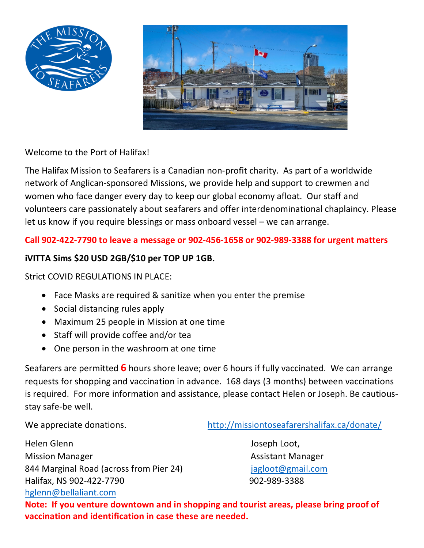



Welcome to the Port of Halifax!

The Halifax Mission to Seafarers is a Canadian non-profit charity. As part of a worldwide network of Anglican-sponsored Missions, we provide help and support to crewmen and women who face danger every day to keep our global economy afloat. Our staff and volunteers care passionately about seafarers and offer interdenominational chaplaincy. Please let us know if you require blessings or mass onboard vessel – we can arrange.

## **Call 902-422-7790 to leave a message or 902-456-1658 or 902-989-3388 for urgent matters**

## **iVITTA Sims \$20 USD 2GB/\$10 per TOP UP 1GB.**

## Strict COVID REGULATIONS IN PLACE:

- Face Masks are required & sanitize when you enter the premise
- Social distancing rules apply
- Maximum 25 people in Mission at one time
- Staff will provide coffee and/or tea
- One person in the washroom at one time

Seafarers are permitted **6** hours shore leave; over 6 hours if fully vaccinated. We can arrange requests for shopping and vaccination in advance. 168 days (3 months) between vaccinations is required. For more information and assistance, please contact Helen or Joseph. Be cautiousstay safe-be well.

We appreciate donations. <http://missiontoseafarershalifax.ca/donate/>

Helen Glenn and The Contract of the United States of the United States and Joseph Loot, Mission Manager **Assistant Manager** Assistant Manager 844 Marginal Road (across from Pier 24) [jagloot@gmail.com](mailto:jagloot@gmail.com) Halifax, NS 902-422-7790 902-989-3388 [hglenn@bellaliant.com](mailto:hglenn@bellaliant.com)

**Note: If you venture downtown and in shopping and tourist areas, please bring proof of vaccination and identification in case these are needed.**